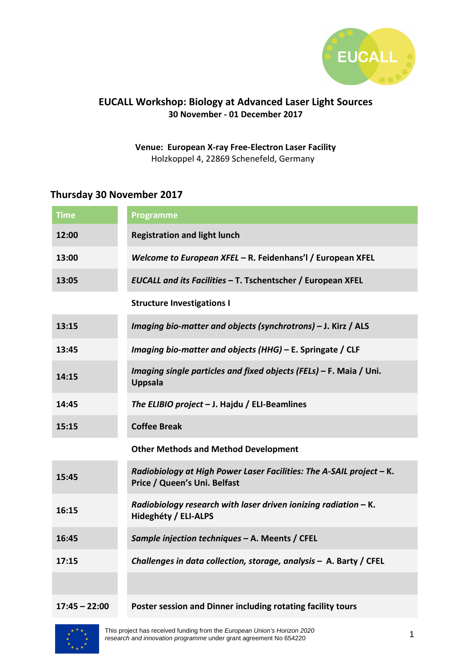

## **EUCALL Workshop: Biology at Advanced Laser Light Sources 30 November - 01 December 2017**

**Venue: European X-ray Free-Electron Laser Facility** Holzkoppel 4, 22869 Schenefeld, Germany

## **Thursday 30 November 2017**

| <b>Time</b>     | <b>Programme</b>                                                                                     |
|-----------------|------------------------------------------------------------------------------------------------------|
| 12:00           | <b>Registration and light lunch</b>                                                                  |
| 13:00           | Welcome to European XFEL - R. Feidenhans'l / European XFEL                                           |
| 13:05           | EUCALL and its Facilities - T. Tschentscher / European XFEL                                          |
|                 | <b>Structure Investigations I</b>                                                                    |
| 13:15           | Imaging bio-matter and objects (synchrotrons) - J. Kirz / ALS                                        |
| 13:45           | Imaging bio-matter and objects (HHG) - E. Springate / CLF                                            |
| 14:15           | Imaging single particles and fixed objects (FELs) - F. Maia / Uni.<br><b>Uppsala</b>                 |
| 14:45           | The ELIBIO project - J. Hajdu / ELI-Beamlines                                                        |
| 15:15           | <b>Coffee Break</b>                                                                                  |
|                 | <b>Other Methods and Method Development</b>                                                          |
| 15:45           | Radiobiology at High Power Laser Facilities: The A-SAIL project - K.<br>Price / Queen's Uni. Belfast |
| 16:15           | Radiobiology research with laser driven ionizing radiation - K.<br>Hideghéty / ELI-ALPS              |
| 16:45           | Sample injection techniques - A. Meents / CFEL                                                       |
| 17:15           | Challenges in data collection, storage, analysis - A. Barty / CFEL                                   |
|                 |                                                                                                      |
| $17:45 - 22:00$ | Poster session and Dinner including rotating facility tours                                          |